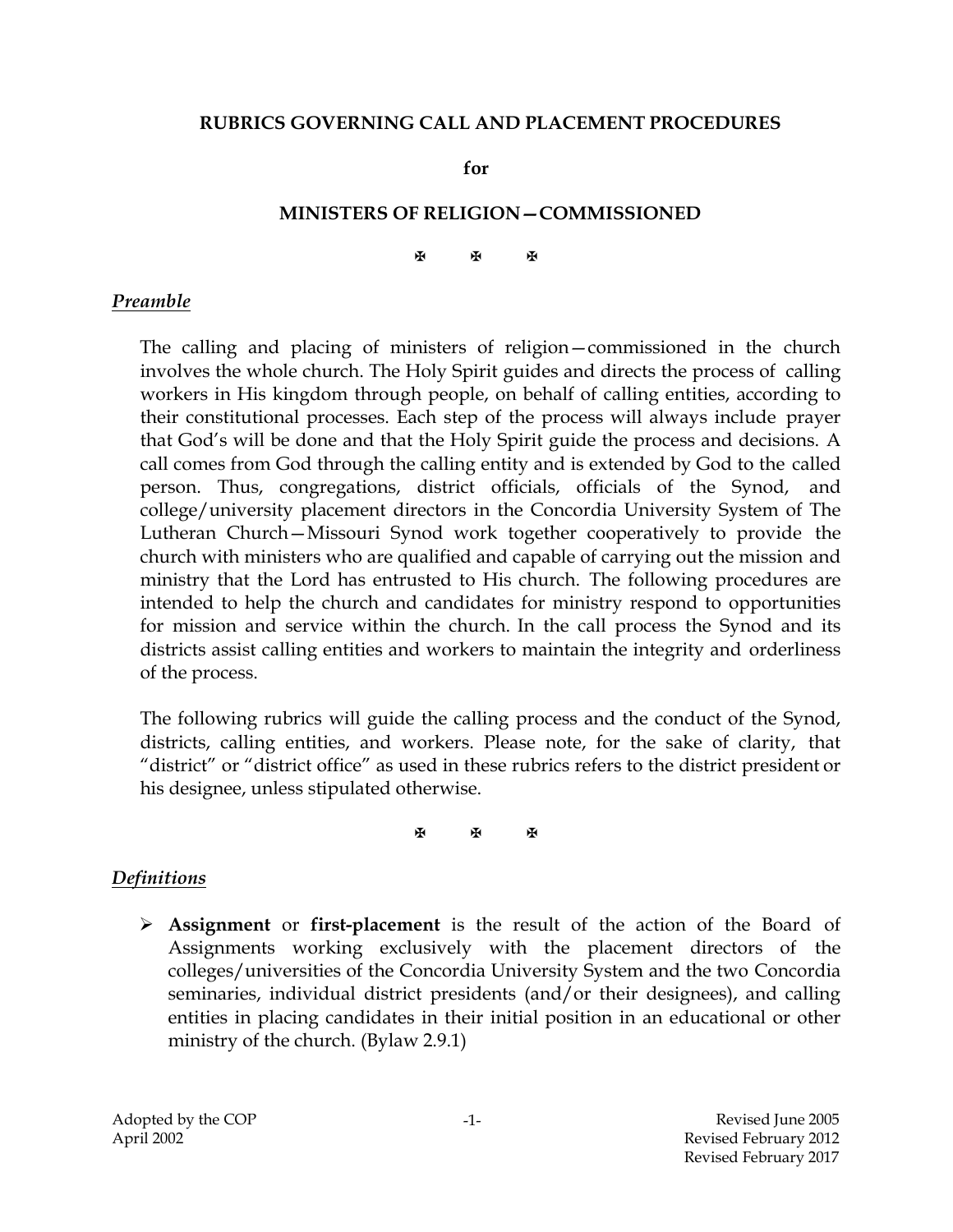#### **RUBRICS GOVERNING CALL AND PLACEMENT PROCEDURES**

**for**

#### **MINISTERS OF RELIGION—COMMISSIONED**

#### 图 图 图

#### *Preamble*

The calling and placing of ministers of religion—commissioned in the church involves the whole church. The Holy Spirit guides and directs the process of calling workers in His kingdom through people, on behalf of calling entities, according to their constitutional processes. Each step of the process will always include prayer that God's will be done and that the Holy Spirit guide the process and decisions. A call comes from God through the calling entity and is extended by God to the called person. Thus, congregations, district officials, officials of the Synod, and college/university placement directors in the Concordia University System of The Lutheran Church—Missouri Synod work together cooperatively to provide the church with ministers who are qualified and capable of carrying out the mission and ministry that the Lord has entrusted to His church. The following procedures are intended to help the church and candidates for ministry respond to opportunities for mission and service within the church. In the call process the Synod and its districts assist calling entities and workers to maintain the integrity and orderliness of the process.

The following rubrics will guide the calling process and the conduct of the Synod, districts, calling entities, and workers. Please note, for the sake of clarity, that "district" or "district office" as used in these rubrics refers to the district president or his designee, unless stipulated otherwise.

**A** A A

#### *Definitions*

 **Assignment** or **first-placement** is the result of the action of the Board of Assignments working exclusively with the placement directors of the colleges/universities of the Concordia University System and the two Concordia seminaries, individual district presidents (and/or their designees), and calling entities in placing candidates in their initial position in an educational or other ministry of the church. (Bylaw 2.9.1)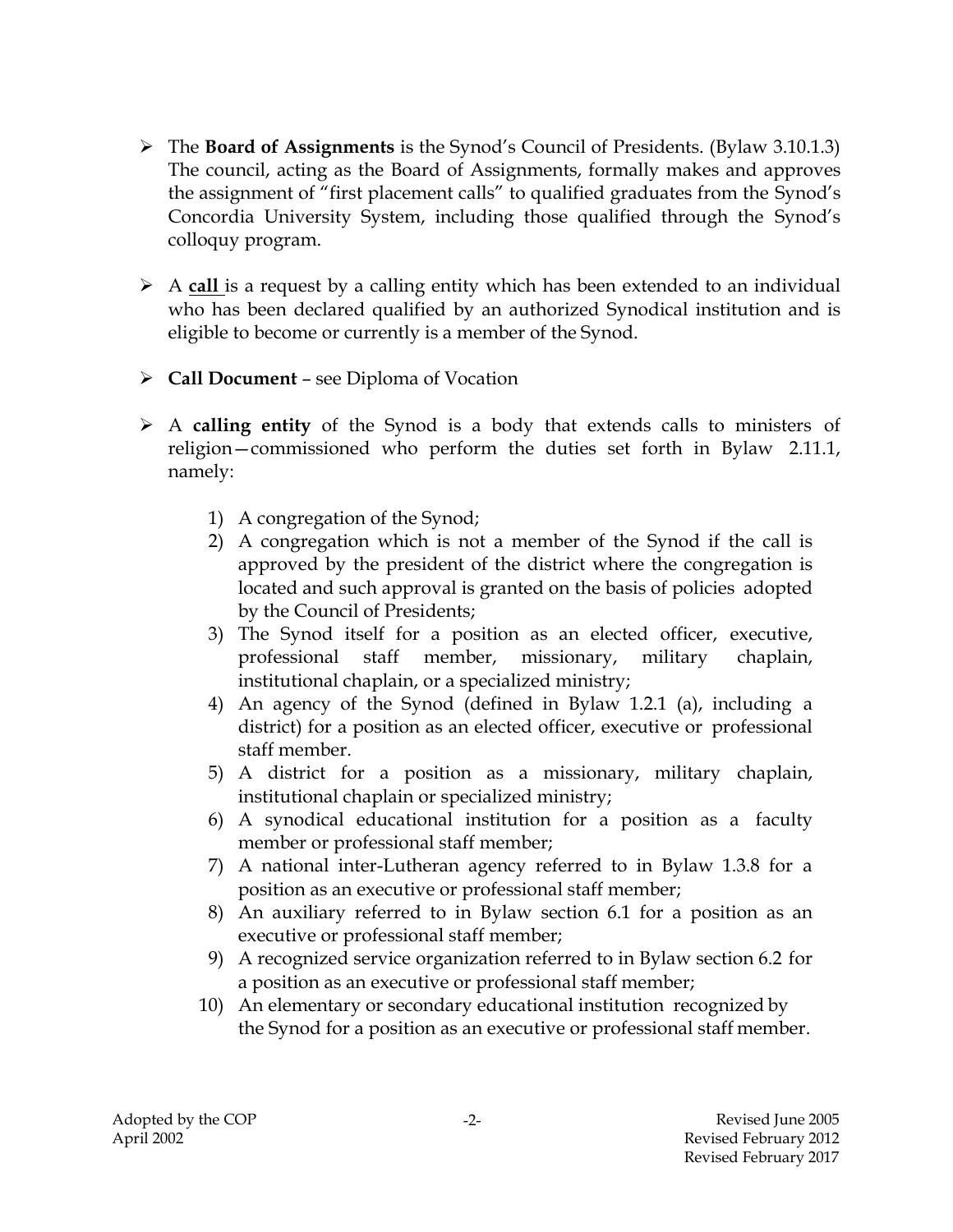- The **Board of Assignments** is the Synod's Council of Presidents. (Bylaw 3.10.1.3) The council, acting as the Board of Assignments, formally makes and approves the assignment of "first placement calls" to qualified graduates from the Synod's Concordia University System, including those qualified through the Synod's colloquy program.
- A **call** is a request by a calling entity which has been extended to an individual who has been declared qualified by an authorized Synodical institution and is eligible to become or currently is a member of the Synod.
- **Call Document**  see Diploma of Vocation
- A **calling entity** of the Synod is a body that extends calls to ministers of religion—commissioned who perform the duties set forth in Bylaw 2.11.1, namely:
	- 1) A congregation of the Synod;
	- 2) A congregation which is not a member of the Synod if the call is approved by the president of the district where the congregation is located and such approval is granted on the basis of policies adopted by the Council of Presidents;
	- 3) The Synod itself for a position as an elected officer, executive, professional staff member, missionary, military chaplain, institutional chaplain, or a specialized ministry;
	- 4) An agency of the Synod (defined in Bylaw 1.2.1 (a), including a district) for a position as an elected officer, executive or professional staff member.
	- 5) A district for a position as a missionary, military chaplain, institutional chaplain or specialized ministry;
	- 6) A synodical educational institution for a position as a faculty member or professional staff member;
	- 7) A national inter-Lutheran agency referred to in Bylaw 1.3.8 for a position as an executive or professional staff member;
	- 8) An auxiliary referred to in Bylaw section 6.1 for a position as an executive or professional staff member;
	- 9) A recognized service organization referred to in Bylaw section 6.2 for a position as an executive or professional staff member;
	- 10) An elementary or secondary educational institution recognized by the Synod for a position as an executive or professional staff member.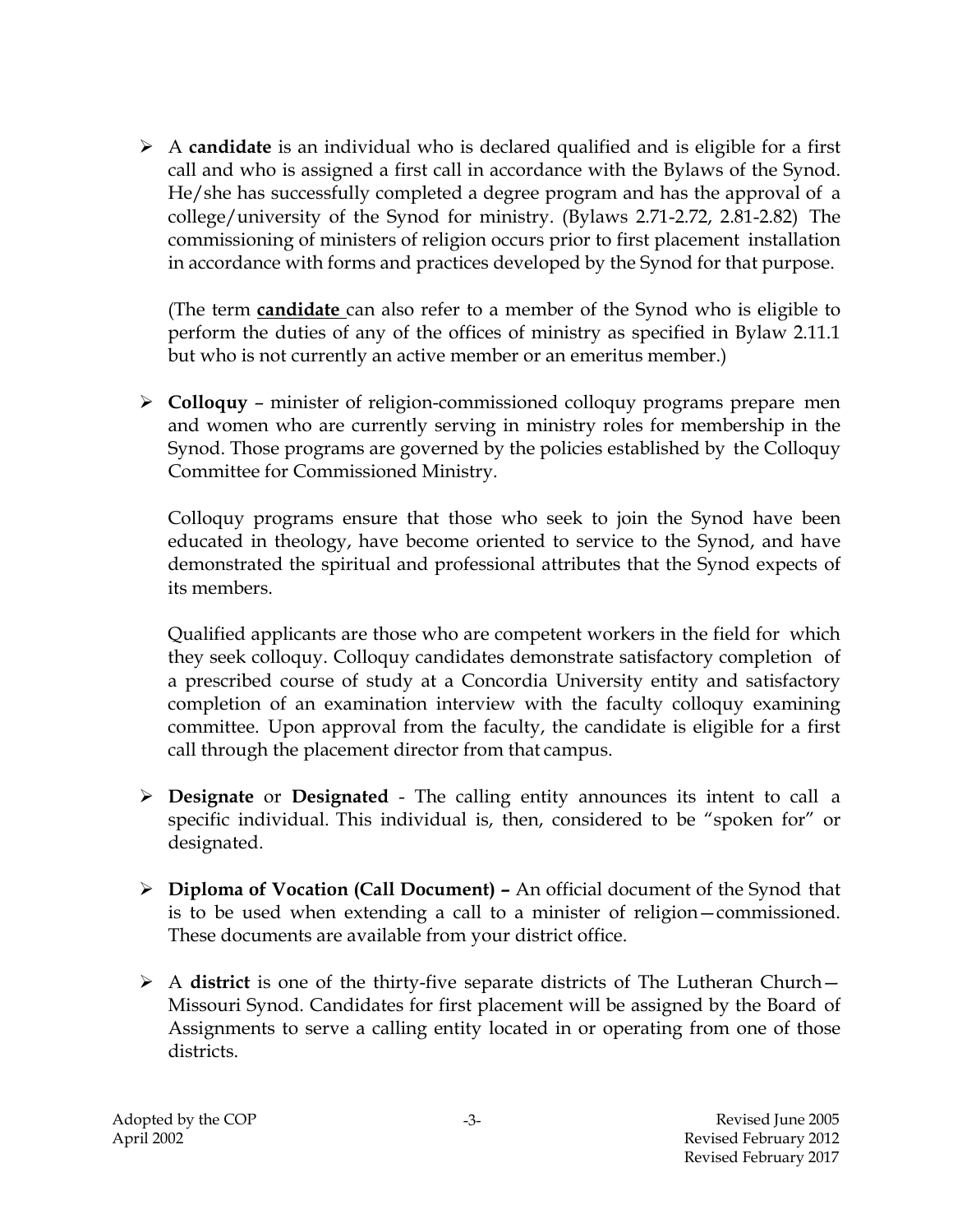A **candidate** is an individual who is declared qualified and is eligible for a first call and who is assigned a first call in accordance with the Bylaws of the Synod. He/she has successfully completed a degree program and has the approval of a college/university of the Synod for ministry. (Bylaws 2.71-2.72, 2.81-2.82) The commissioning of ministers of religion occurs prior to first placement installation in accordance with forms and practices developed by the Synod for that purpose.

(The term **candidate** can also refer to a member of the Synod who is eligible to perform the duties of any of the offices of ministry as specified in Bylaw 2.11.1 but who is not currently an active member or an emeritus member.)

 **Colloquy** – minister of religion-commissioned colloquy programs prepare men and women who are currently serving in ministry roles for membership in the Synod. Those programs are governed by the policies established by the Colloquy Committee for Commissioned Ministry.

Colloquy programs ensure that those who seek to join the Synod have been educated in theology, have become oriented to service to the Synod, and have demonstrated the spiritual and professional attributes that the Synod expects of its members.

Qualified applicants are those who are competent workers in the field for which they seek colloquy. Colloquy candidates demonstrate satisfactory completion of a prescribed course of study at a Concordia University entity and satisfactory completion of an examination interview with the faculty colloquy examining committee. Upon approval from the faculty, the candidate is eligible for a first call through the placement director from that campus.

- **Designate** or **Designated**  The calling entity announces its intent to call a specific individual. This individual is, then, considered to be "spoken for" or designated.
- **Diploma of Vocation (Call Document) –** An official document of the Synod that is to be used when extending a call to a minister of religion—commissioned. These documents are available from your district office.
- A **district** is one of the thirty-five separate districts of The Lutheran Church— Missouri Synod. Candidates for first placement will be assigned by the Board of Assignments to serve a calling entity located in or operating from one of those districts.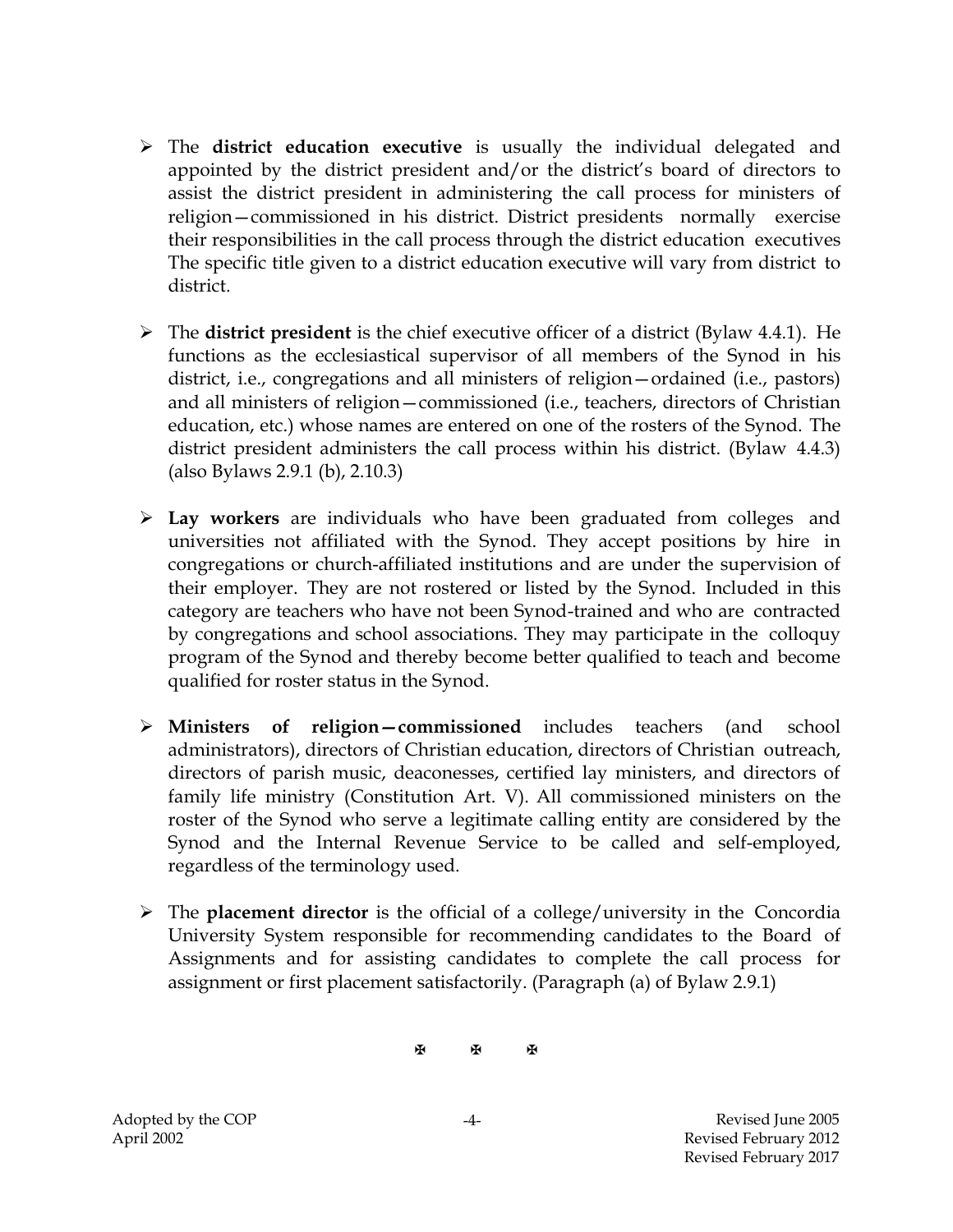- The **district education executive** is usually the individual delegated and appointed by the district president and/or the district's board of directors to assist the district president in administering the call process for ministers of religion—commissioned in his district. District presidents normally exercise their responsibilities in the call process through the district education executives The specific title given to a district education executive will vary from district to district.
- The **district president** is the chief executive officer of a district (Bylaw 4.4.1). He functions as the ecclesiastical supervisor of all members of the Synod in his district, i.e., congregations and all ministers of religion—ordained (i.e., pastors) and all ministers of religion—commissioned (i.e., teachers, directors of Christian education, etc.) whose names are entered on one of the rosters of the Synod. The district president administers the call process within his district. (Bylaw 4.4.3) (also Bylaws 2.9.1 (b), 2.10.3)
- **Lay workers** are individuals who have been graduated from colleges and universities not affiliated with the Synod. They accept positions by hire in congregations or church-affiliated institutions and are under the supervision of their employer. They are not rostered or listed by the Synod. Included in this category are teachers who have not been Synod-trained and who are contracted by congregations and school associations. They may participate in the colloquy program of the Synod and thereby become better qualified to teach and become qualified for roster status in the Synod.
- **Ministers of religion—commissioned** includes teachers (and school administrators), directors of Christian education, directors of Christian outreach, directors of parish music, deaconesses, certified lay ministers, and directors of family life ministry (Constitution Art. V). All commissioned ministers on the roster of the Synod who serve a legitimate calling entity are considered by the Synod and the Internal Revenue Service to be called and self-employed, regardless of the terminology used.
- The **placement director** is the official of a college/university in the Concordia University System responsible for recommending candidates to the Board of Assignments and for assisting candidates to complete the call process for assignment or first placement satisfactorily. (Paragraph (a) of Bylaw 2.9.1)

图 图 图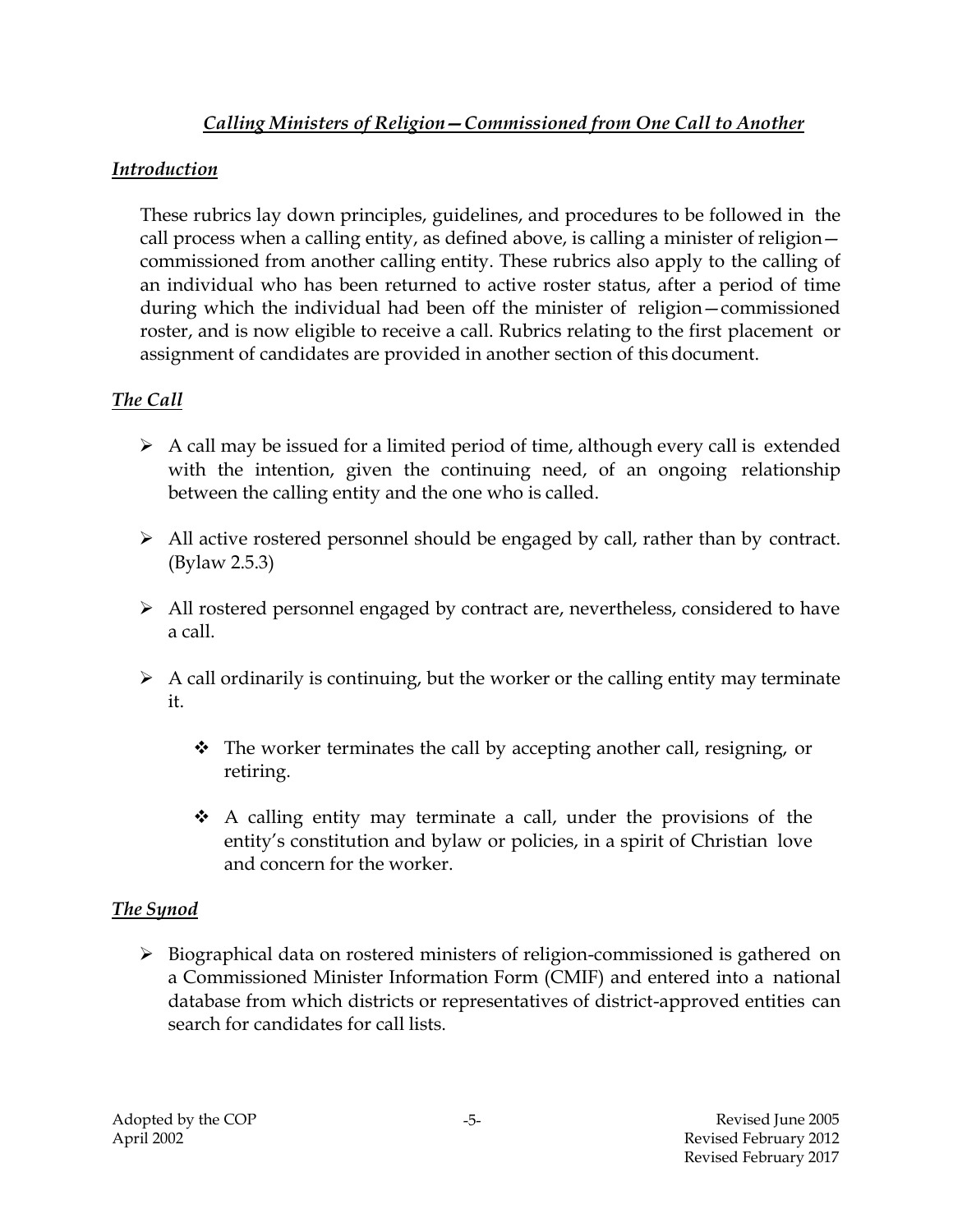# *Calling Ministers of Religion—Commissioned from One Call to Another*

### *Introduction*

These rubrics lay down principles, guidelines, and procedures to be followed in the call process when a calling entity, as defined above, is calling a minister of religion commissioned from another calling entity. These rubrics also apply to the calling of an individual who has been returned to active roster status, after a period of time during which the individual had been off the minister of religion—commissioned roster, and is now eligible to receive a call. Rubrics relating to the first placement or assignment of candidates are provided in another section of this document.

### *The Call*

- $\triangleright$  A call may be issued for a limited period of time, although every call is extended with the intention, given the continuing need, of an ongoing relationship between the calling entity and the one who is called.
- All active rostered personnel should be engaged by call, rather than by contract. (Bylaw 2.5.3)
- All rostered personnel engaged by contract are, nevertheless, considered to have a call.
- $\triangleright$  A call ordinarily is continuing, but the worker or the calling entity may terminate it.
	- $\cdot \cdot$  The worker terminates the call by accepting another call, resigning, or retiring.
	- $\hat{\bullet}$  A calling entity may terminate a call, under the provisions of the entity's constitution and bylaw or policies, in a spirit of Christian love and concern for the worker.

### *The Synod*

 Biographical data on rostered ministers of religion-commissioned is gathered on a Commissioned Minister Information Form (CMIF) and entered into a national database from which districts or representatives of district-approved entities can search for candidates for call lists.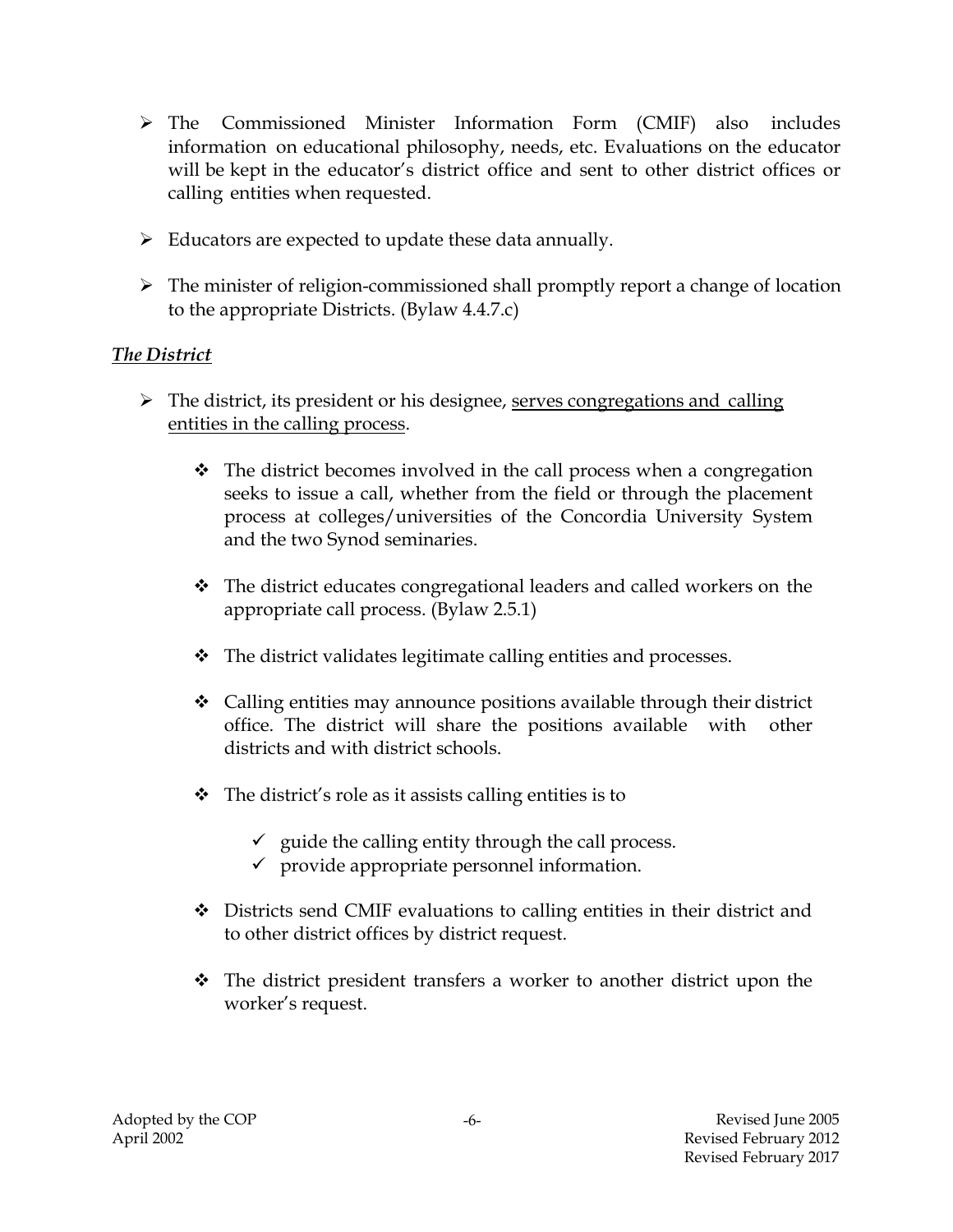- The Commissioned Minister Information Form (CMIF) also includes information on educational philosophy, needs, etc. Evaluations on the educator will be kept in the educator's district office and sent to other district offices or calling entities when requested.
- $\triangleright$  Educators are expected to update these data annually.
- $\triangleright$  The minister of religion-commissioned shall promptly report a change of location to the appropriate Districts. (Bylaw 4.4.7.c)

# *The District*

- $\triangleright$  The district, its president or his designee, serves congregations and calling entities in the calling process.
	- $\cdot \cdot$  The district becomes involved in the call process when a congregation seeks to issue a call, whether from the field or through the placement process at colleges/universities of the Concordia University System and the two Synod seminaries.
	- $\mathbf{\hat{P}}$  The district educates congregational leaders and called workers on the appropriate call process. (Bylaw 2.5.1)
	- The district validates legitimate calling entities and processes.
	- $\triangle$  Calling entities may announce positions available through their district office. The district will share the positions available with other districts and with district schools.
	- $\triangle$  The district's role as it assists calling entities is to
		- $\checkmark$  guide the calling entity through the call process.
		- $\checkmark$  provide appropriate personnel information.
	- ◆ Districts send CMIF evaluations to calling entities in their district and to other district offices by district request.
	- $\mathbf{\hat{P}}$  The district president transfers a worker to another district upon the worker's request.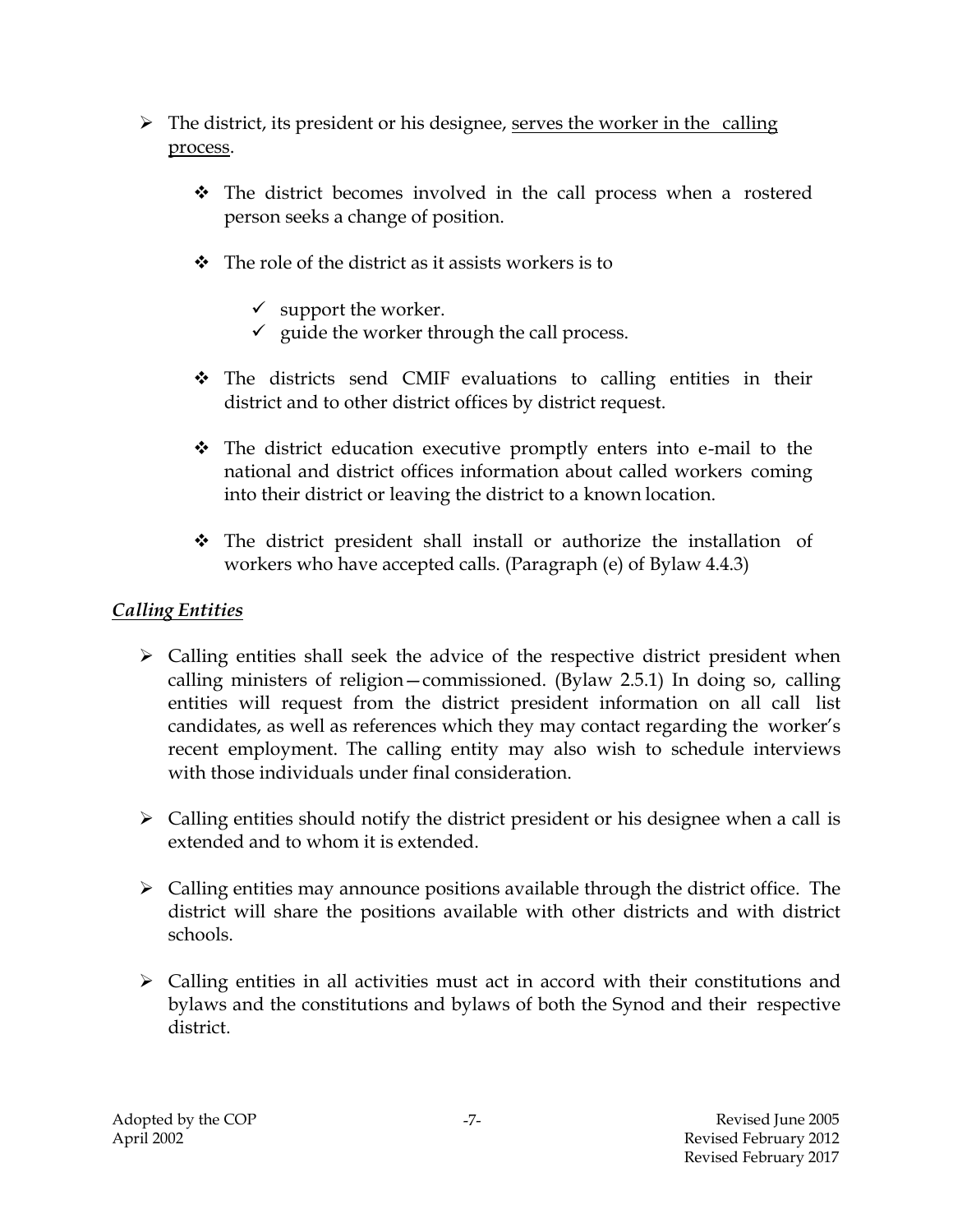- $\triangleright$  The district, its president or his designee, serves the worker in the calling process.
	- The district becomes involved in the call process when a rostered person seeks a change of position.
	- $\triangle$  The role of the district as it assists workers is to
		- $\checkmark$  support the worker.
		- $\checkmark$  guide the worker through the call process.
	- The districts send CMIF evaluations to calling entities in their district and to other district offices by district request.
	- The district education executive promptly enters into e-mail to the national and district offices information about called workers coming into their district or leaving the district to a known location.
	- $\div$  The district president shall install or authorize the installation of workers who have accepted calls. (Paragraph (e) of Bylaw 4.4.3)

# *Calling Entities*

- $\triangleright$  Calling entities shall seek the advice of the respective district president when calling ministers of religion—commissioned. (Bylaw 2.5.1) In doing so, calling entities will request from the district president information on all call list candidates, as well as references which they may contact regarding the worker's recent employment. The calling entity may also wish to schedule interviews with those individuals under final consideration.
- $\triangleright$  Calling entities should notify the district president or his designee when a call is extended and to whom it is extended.
- $\triangleright$  Calling entities may announce positions available through the district office. The district will share the positions available with other districts and with district schools.
- $\triangleright$  Calling entities in all activities must act in accord with their constitutions and bylaws and the constitutions and bylaws of both the Synod and their respective district.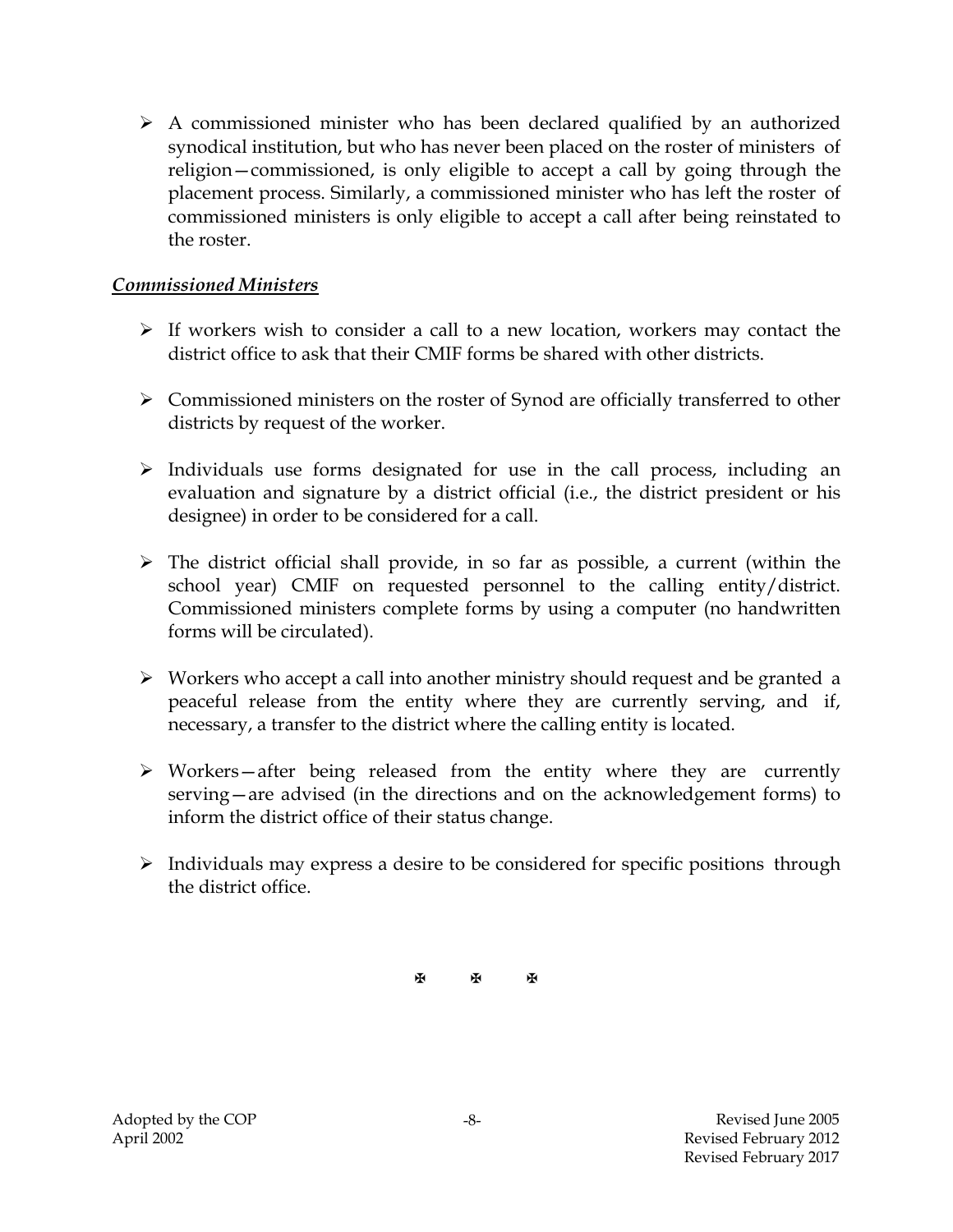$\triangleright$  A commissioned minister who has been declared qualified by an authorized synodical institution, but who has never been placed on the roster of ministers of religion—commissioned, is only eligible to accept a call by going through the placement process. Similarly, a commissioned minister who has left the roster of commissioned ministers is only eligible to accept a call after being reinstated to the roster.

#### *Commissioned Ministers*

- $\triangleright$  If workers wish to consider a call to a new location, workers may contact the district office to ask that their CMIF forms be shared with other districts.
- $\triangleright$  Commissioned ministers on the roster of Synod are officially transferred to other districts by request of the worker.
- $\triangleright$  Individuals use forms designated for use in the call process, including an evaluation and signature by a district official (i.e., the district president or his designee) in order to be considered for a call.
- $\triangleright$  The district official shall provide, in so far as possible, a current (within the school year) CMIF on requested personnel to the calling entity/district. Commissioned ministers complete forms by using a computer (no handwritten forms will be circulated).
- Workers who accept a call into another ministry should request and be granted a peaceful release from the entity where they are currently serving, and if, necessary, a transfer to the district where the calling entity is located.
- $\triangleright$  Workers—after being released from the entity where they are currently serving—are advised (in the directions and on the acknowledgement forms) to inform the district office of their status change.
- $\triangleright$  Individuals may express a desire to be considered for specific positions through the district office.

图 图 图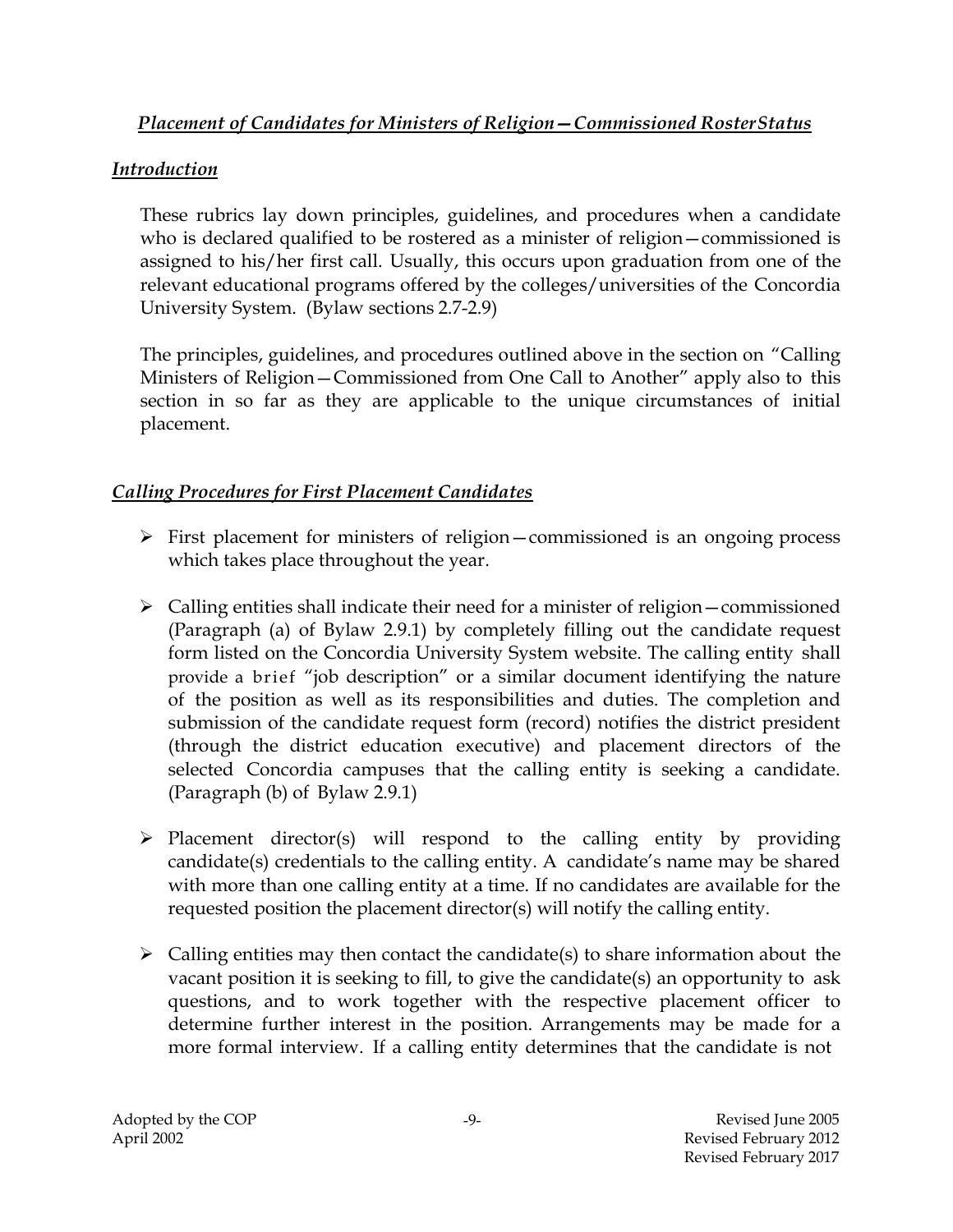### *Placement of Candidates for Ministers of Religion—Commissioned RosterStatus*

# *Introduction*

These rubrics lay down principles, guidelines, and procedures when a candidate who is declared qualified to be rostered as a minister of religion – commissioned is assigned to his/her first call. Usually, this occurs upon graduation from one of the relevant educational programs offered by the colleges/universities of the Concordia University System. (Bylaw sections 2.7-2.9)

The principles, guidelines, and procedures outlined above in the section on "Calling Ministers of Religion—Commissioned from One Call to Another" apply also to this section in so far as they are applicable to the unique circumstances of initial placement.

# *Calling Procedures for First Placement Candidates*

- First placement for ministers of religion—commissioned is an ongoing process which takes place throughout the year.
- $\triangleright$  Calling entities shall indicate their need for a minister of religion commissioned (Paragraph (a) of Bylaw 2.9.1) by completely filling out the candidate request form listed on the Concordia University System website. The calling entity shall provide a brief "job description" or a similar document identifying the nature of the position as well as its responsibilities and duties. The completion and submission of the candidate request form (record) notifies the district president (through the district education executive) and placement directors of the selected Concordia campuses that the calling entity is seeking a candidate. (Paragraph (b) of Bylaw 2.9.1)
- $\triangleright$  Placement director(s) will respond to the calling entity by providing candidate(s) credentials to the calling entity. A candidate's name may be shared with more than one calling entity at a time. If no candidates are available for the requested position the placement director(s) will notify the calling entity.
- $\triangleright$  Calling entities may then contact the candidate(s) to share information about the vacant position it is seeking to fill, to give the candidate(s) an opportunity to ask questions, and to work together with the respective placement officer to determine further interest in the position. Arrangements may be made for a more formal interview. If a calling entity determines that the candidate is not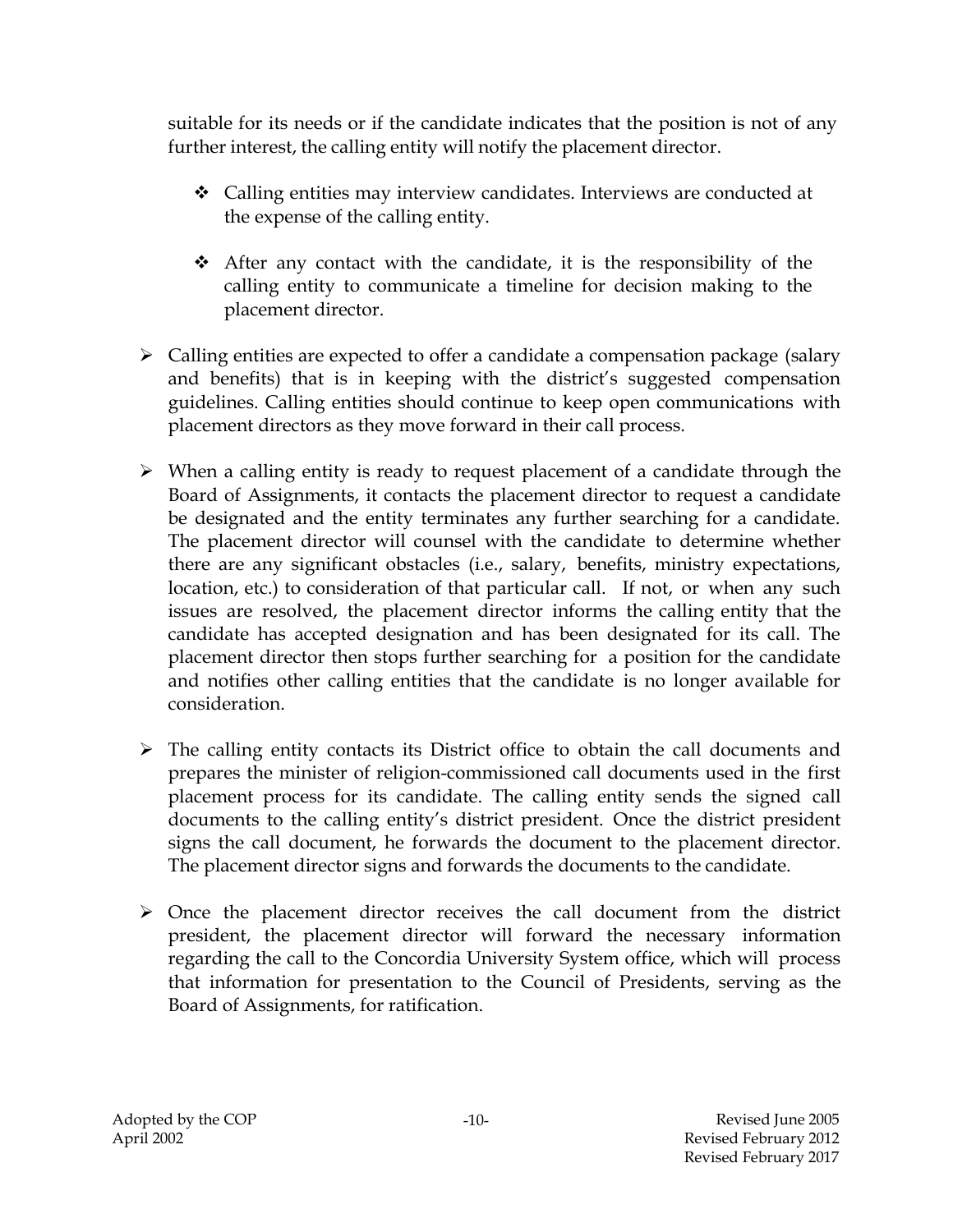suitable for its needs or if the candidate indicates that the position is not of any further interest, the calling entity will notify the placement director.

- $\div$  Calling entities may interview candidates. Interviews are conducted at the expense of the calling entity.
- $\hat{\mathbf{v}}$  After any contact with the candidate, it is the responsibility of the calling entity to communicate a timeline for decision making to the placement director.
- $\triangleright$  Calling entities are expected to offer a candidate a compensation package (salary and benefits) that is in keeping with the district's suggested compensation guidelines. Calling entities should continue to keep open communications with placement directors as they move forward in their call process.
- $\triangleright$  When a calling entity is ready to request placement of a candidate through the Board of Assignments, it contacts the placement director to request a candidate be designated and the entity terminates any further searching for a candidate. The placement director will counsel with the candidate to determine whether there are any significant obstacles (i.e., salary, benefits, ministry expectations, location, etc.) to consideration of that particular call. If not, or when any such issues are resolved, the placement director informs the calling entity that the candidate has accepted designation and has been designated for its call. The placement director then stops further searching for a position for the candidate and notifies other calling entities that the candidate is no longer available for consideration.
- $\triangleright$  The calling entity contacts its District office to obtain the call documents and prepares the minister of religion-commissioned call documents used in the first placement process for its candidate. The calling entity sends the signed call documents to the calling entity's district president. Once the district president signs the call document, he forwards the document to the placement director. The placement director signs and forwards the documents to the candidate.
- $\triangleright$  Once the placement director receives the call document from the district president, the placement director will forward the necessary information regarding the call to the Concordia University System office, which will process that information for presentation to the Council of Presidents, serving as the Board of Assignments, for ratification.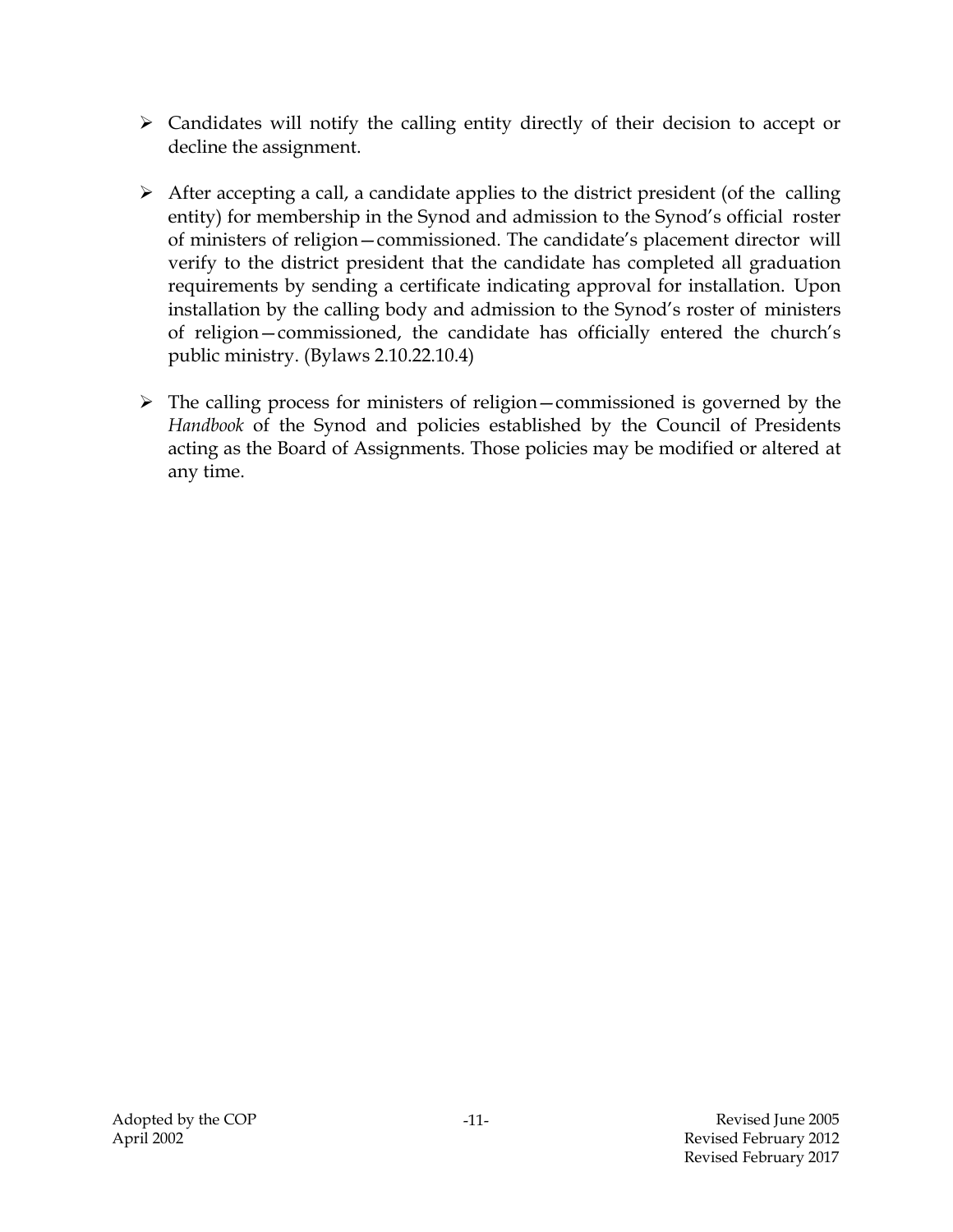- $\triangleright$  Candidates will notify the calling entity directly of their decision to accept or decline the assignment.
- $\triangleright$  After accepting a call, a candidate applies to the district president (of the calling entity) for membership in the Synod and admission to the Synod's official roster of ministers of religion—commissioned. The candidate's placement director will verify to the district president that the candidate has completed all graduation requirements by sending a certificate indicating approval for installation. Upon installation by the calling body and admission to the Synod's roster of ministers of religion—commissioned, the candidate has officially entered the church's public ministry. (Bylaws 2.10.22.10.4)
- $\triangleright$  The calling process for ministers of religion—commissioned is governed by the *Handbook* of the Synod and policies established by the Council of Presidents acting as the Board of Assignments. Those policies may be modified or altered at any time.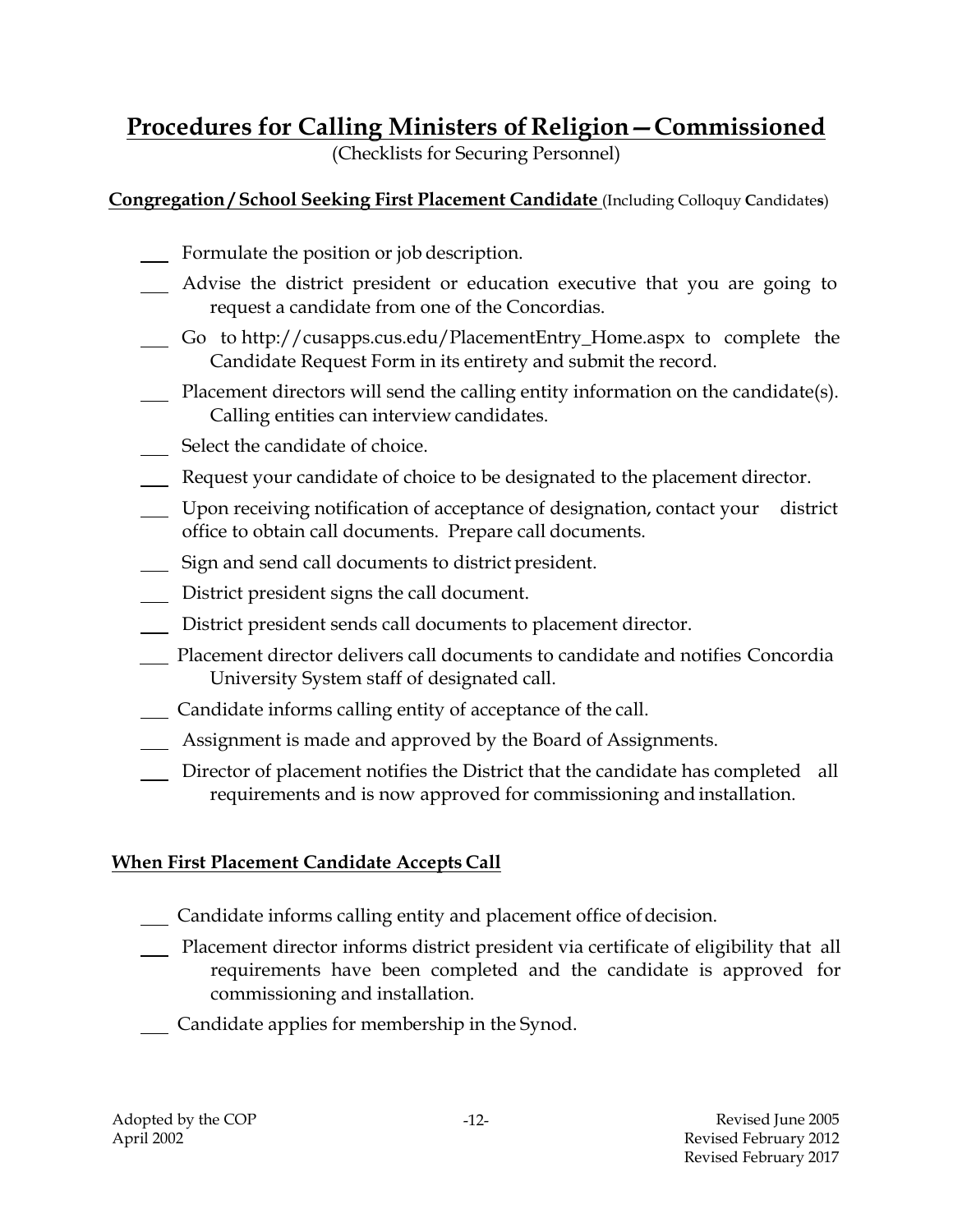# **Procedures for Calling Ministers of Religion—Commissioned**

(Checklists for Securing Personnel)

# **Congregation / School Seeking First Placement Candidate** (Including Colloquy **C**andidate**s**)

- Formulate the position or job description.
- Advise the district president or education executive that you are going to request a candidate from one of the Concordias.
- Go to http://cusapps.cus.edu/PlacementEntry\_Home.aspx to complete the Candidate Request Form in its entirety and submit the record.
- Placement directors will send the calling entity information on the candidate(s). Calling entities can interview candidates.
- Select the candidate of choice.
- Request your candidate of choice to be designated to the placement director.
- Upon receiving notification of acceptance of designation, contact your district office to obtain call documents. Prepare call documents.
- Sign and send call documents to district president.
- District president signs the call document.
- District president sends call documents to placement director.
- Placement director delivers call documents to candidate and notifies Concordia University System staff of designated call.
- Candidate informs calling entity of acceptance of the call.
- Assignment is made and approved by the Board of Assignments.
- Director of placement notifies the District that the candidate has completed all requirements and is now approved for commissioning and installation.

# **When First Placement Candidate Accepts Call**

- Candidate informs calling entity and placement office of decision.
- Placement director informs district president via certificate of eligibility that all requirements have been completed and the candidate is approved for commissioning and installation.
- Candidate applies for membership in the Synod.